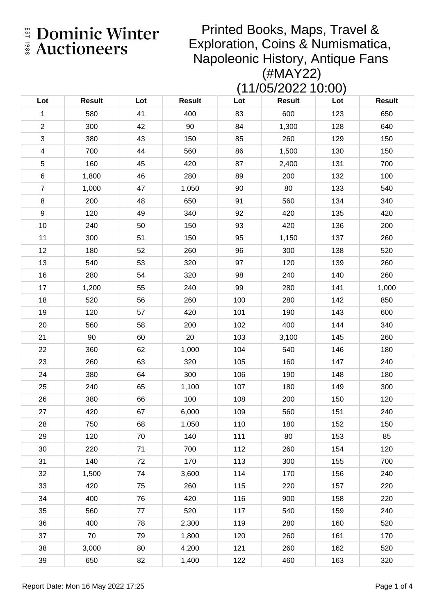Printed Books, Maps, Travel & Exploration, Coins & Numismatica, Napoleonic History, Antique Fans (#MAY22)

(11/05/2022 10:00)

| Lot                     | <b>Result</b> | Lot | <b>Result</b> | Lot | <b>Result</b> | Lot | <b>Result</b> |
|-------------------------|---------------|-----|---------------|-----|---------------|-----|---------------|
| $\mathbf{1}$            | 580           | 41  | 400           | 83  | 600           | 123 | 650           |
| $\overline{2}$          | 300           | 42  | 90            | 84  | 1,300         | 128 | 640           |
| $\mathfrak{S}$          | 380           | 43  | 150           | 85  | 260           | 129 | 150           |
| $\overline{\mathbf{4}}$ | 700           | 44  | 560           | 86  | 1,500         | 130 | 150           |
| 5                       | 160           | 45  | 420           | 87  | 2,400         | 131 | 700           |
| $\,6$                   | 1,800         | 46  | 280           | 89  | 200           | 132 | 100           |
| $\overline{7}$          | 1,000         | 47  | 1,050         | 90  | 80            | 133 | 540           |
| 8                       | 200           | 48  | 650           | 91  | 560           | 134 | 340           |
| 9                       | 120           | 49  | 340           | 92  | 420           | 135 | 420           |
| 10                      | 240           | 50  | 150           | 93  | 420           | 136 | 200           |
| 11                      | 300           | 51  | 150           | 95  | 1,150         | 137 | 260           |
| 12                      | 180           | 52  | 260           | 96  | 300           | 138 | 520           |
| 13                      | 540           | 53  | 320           | 97  | 120           | 139 | 260           |
| 16                      | 280           | 54  | 320           | 98  | 240           | 140 | 260           |
| 17                      | 1,200         | 55  | 240           | 99  | 280           | 141 | 1,000         |
| 18                      | 520           | 56  | 260           | 100 | 280           | 142 | 850           |
| 19                      | 120           | 57  | 420           | 101 | 190           | 143 | 600           |
| 20                      | 560           | 58  | 200           | 102 | 400           | 144 | 340           |
| 21                      | 90            | 60  | 20            | 103 | 3,100         | 145 | 260           |
| 22                      | 360           | 62  | 1,000         | 104 | 540           | 146 | 180           |
| 23                      | 260           | 63  | 320           | 105 | 160           | 147 | 240           |
| 24                      | 380           | 64  | 300           | 106 | 190           | 148 | 180           |
| 25                      | 240           | 65  | 1,100         | 107 | 180           | 149 | 300           |
| 26                      | 380           | 66  | 100           | 108 | 200           | 150 | 120           |
| 27                      | 420           | 67  | 6,000         | 109 | 560           | 151 | 240           |
| 28                      | 750           | 68  | 1,050         | 110 | 180           | 152 | 150           |
| 29                      | 120           | 70  | 140           | 111 | 80            | 153 | 85            |
| 30                      | 220           | 71  | 700           | 112 | 260           | 154 | 120           |
| 31                      | 140           | 72  | 170           | 113 | 300           | 155 | 700           |
| 32                      | 1,500         | 74  | 3,600         | 114 | 170           | 156 | 240           |
| 33                      | 420           | 75  | 260           | 115 | 220           | 157 | 220           |
| 34                      | 400           | 76  | 420           | 116 | 900           | 158 | 220           |
| 35                      | 560           | 77  | 520           | 117 | 540           | 159 | 240           |
| 36                      | 400           | 78  | 2,300         | 119 | 280           | 160 | 520           |
| 37                      | 70            | 79  | 1,800         | 120 | 260           | 161 | 170           |
| 38                      | 3,000         | 80  | 4,200         | 121 | 260           | 162 | 520           |
| 39                      | 650           | 82  | 1,400         | 122 | 460           | 163 | 320           |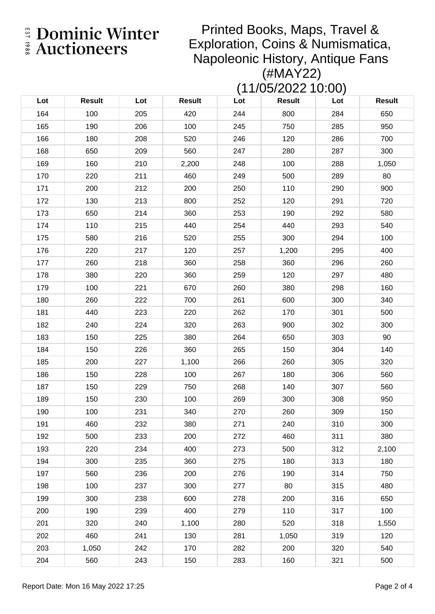Printed Books, Maps, Travel & Exploration, Coins & Numismatica, Napoleonic History, Antique Fans (#MAY22)

(11/05/2022 10:00)

| Lot | <b>Result</b> | Lot | <b>Result</b> | Lot | <b>Result</b> | Lot | <b>Result</b> |
|-----|---------------|-----|---------------|-----|---------------|-----|---------------|
| 164 | 100           | 205 | 420           | 244 | 800           | 284 | 650           |
| 165 | 190           | 206 | 100           | 245 | 750           | 285 | 950           |
| 166 | 180           | 208 | 520           | 246 | 120           | 286 | 700           |
| 168 | 650           | 209 | 560           | 247 | 280           | 287 | 300           |
| 169 | 160           | 210 | 2,200         | 248 | 100           | 288 | 1,050         |
| 170 | 220           | 211 | 460           | 249 | 500           | 289 | 80            |
| 171 | 200           | 212 | 200           | 250 | 110           | 290 | 900           |
| 172 | 130           | 213 | 800           | 252 | 120           | 291 | 720           |
| 173 | 650           | 214 | 360           | 253 | 190           | 292 | 580           |
| 174 | 110           | 215 | 440           | 254 | 440           | 293 | 540           |
| 175 | 580           | 216 | 520           | 255 | 300           | 294 | 100           |
| 176 | 220           | 217 | 120           | 257 | 1,200         | 295 | 400           |
| 177 | 260           | 218 | 360           | 258 | 360           | 296 | 260           |
| 178 | 380           | 220 | 360           | 259 | 120           | 297 | 480           |
| 179 | 100           | 221 | 670           | 260 | 380           | 298 | 160           |
| 180 | 260           | 222 | 700           | 261 | 600           | 300 | 340           |
| 181 | 440           | 223 | 220           | 262 | 170           | 301 | 500           |
| 182 | 240           | 224 | 320           | 263 | 900           | 302 | 300           |
| 183 | 150           | 225 | 380           | 264 | 650           | 303 | 90            |
| 184 | 150           | 226 | 360           | 265 | 150           | 304 | 140           |
| 185 | 200           | 227 | 1,100         | 266 | 260           | 305 | 320           |
| 186 | 150           | 228 | 100           | 267 | 180           | 306 | 560           |
| 187 | 150           | 229 | 750           | 268 | 140           | 307 | 560           |
| 189 | 150           | 230 | 100           | 269 | 300           | 308 | 950           |
| 190 | 100           | 231 | 340           | 270 | 260           | 309 | 150           |
| 191 | 460           | 232 | 380           | 271 | 240           | 310 | 300           |
| 192 | 500           | 233 | 200           | 272 | 460           | 311 | 380           |
| 193 | 220           | 234 | 400           | 273 | 500           | 312 | 2,100         |
| 194 | 300           | 235 | 360           | 275 | 180           | 313 | 180           |
| 197 | 560           | 236 | 200           | 276 | 190           | 314 | 750           |
| 198 | 100           | 237 | 300           | 277 | 80            | 315 | 480           |
| 199 | 300           | 238 | 600           | 278 | 200           | 316 | 650           |
| 200 | 190           | 239 | 400           | 279 | 110           | 317 | 100           |
| 201 | 320           | 240 | 1,100         | 280 | 520           | 318 | 1,550         |
| 202 | 460           | 241 | 130           | 281 | 1,050         | 319 | 120           |
| 203 | 1,050         | 242 | 170           | 282 | 200           | 320 | 540           |
| 204 | 560           | 243 | 150           | 283 | 160           | 321 | 500           |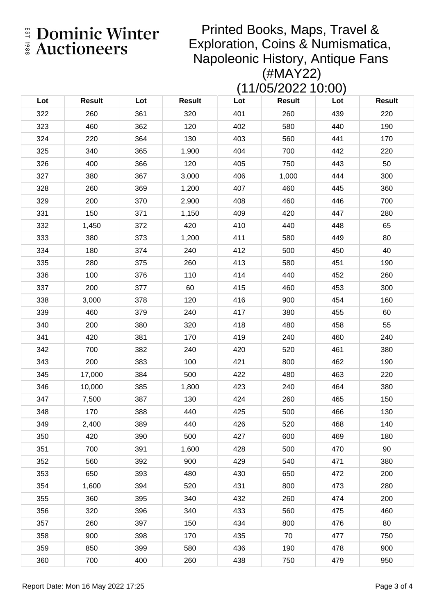Printed Books, Maps, Travel & Exploration, Coins & Numismatica, Napoleonic History, Antique Fans (#MAY22)

(11/05/2022 10:00)

| Lot | <b>Result</b> | Lot | <b>Result</b> | Lot | <b>Result</b> | Lot | <b>Result</b> |
|-----|---------------|-----|---------------|-----|---------------|-----|---------------|
| 322 | 260           | 361 | 320           | 401 | 260           | 439 | 220           |
| 323 | 460           | 362 | 120           | 402 | 580           | 440 | 190           |
| 324 | 220           | 364 | 130           | 403 | 560           | 441 | 170           |
| 325 | 340           | 365 | 1,900         | 404 | 700           | 442 | 220           |
| 326 | 400           | 366 | 120           | 405 | 750           | 443 | 50            |
| 327 | 380           | 367 | 3,000         | 406 | 1,000         | 444 | 300           |
| 328 | 260           | 369 | 1,200         | 407 | 460           | 445 | 360           |
| 329 | 200           | 370 | 2,900         | 408 | 460           | 446 | 700           |
| 331 | 150           | 371 | 1,150         | 409 | 420           | 447 | 280           |
| 332 | 1,450         | 372 | 420           | 410 | 440           | 448 | 65            |
| 333 | 380           | 373 | 1,200         | 411 | 580           | 449 | 80            |
| 334 | 180           | 374 | 240           | 412 | 500           | 450 | 40            |
| 335 | 280           | 375 | 260           | 413 | 580           | 451 | 190           |
| 336 | 100           | 376 | 110           | 414 | 440           | 452 | 260           |
| 337 | 200           | 377 | 60            | 415 | 460           | 453 | 300           |
| 338 | 3,000         | 378 | 120           | 416 | 900           | 454 | 160           |
| 339 | 460           | 379 | 240           | 417 | 380           | 455 | 60            |
| 340 | 200           | 380 | 320           | 418 | 480           | 458 | 55            |
| 341 | 420           | 381 | 170           | 419 | 240           | 460 | 240           |
| 342 | 700           | 382 | 240           | 420 | 520           | 461 | 380           |
| 343 | 200           | 383 | 100           | 421 | 800           | 462 | 190           |
| 345 | 17,000        | 384 | 500           | 422 | 480           | 463 | 220           |
| 346 | 10,000        | 385 | 1,800         | 423 | 240           | 464 | 380           |
| 347 | 7,500         | 387 | 130           | 424 | 260           | 465 | 150           |
| 348 | 170           | 388 | 440           | 425 | 500           | 466 | 130           |
| 349 | 2,400         | 389 | 440           | 426 | 520           | 468 | 140           |
| 350 | 420           | 390 | 500           | 427 | 600           | 469 | 180           |
| 351 | 700           | 391 | 1,600         | 428 | 500           | 470 | 90            |
| 352 | 560           | 392 | 900           | 429 | 540           | 471 | 380           |
| 353 | 650           | 393 | 480           | 430 | 650           | 472 | 200           |
| 354 | 1,600         | 394 | 520           | 431 | 800           | 473 | 280           |
| 355 | 360           | 395 | 340           | 432 | 260           | 474 | 200           |
| 356 | 320           | 396 | 340           | 433 | 560           | 475 | 460           |
| 357 | 260           | 397 | 150           | 434 | 800           | 476 | 80            |
| 358 | 900           | 398 | 170           | 435 | 70            | 477 | 750           |
| 359 | 850           | 399 | 580           | 436 | 190           | 478 | 900           |
| 360 | 700           | 400 | 260           | 438 | 750           | 479 | 950           |